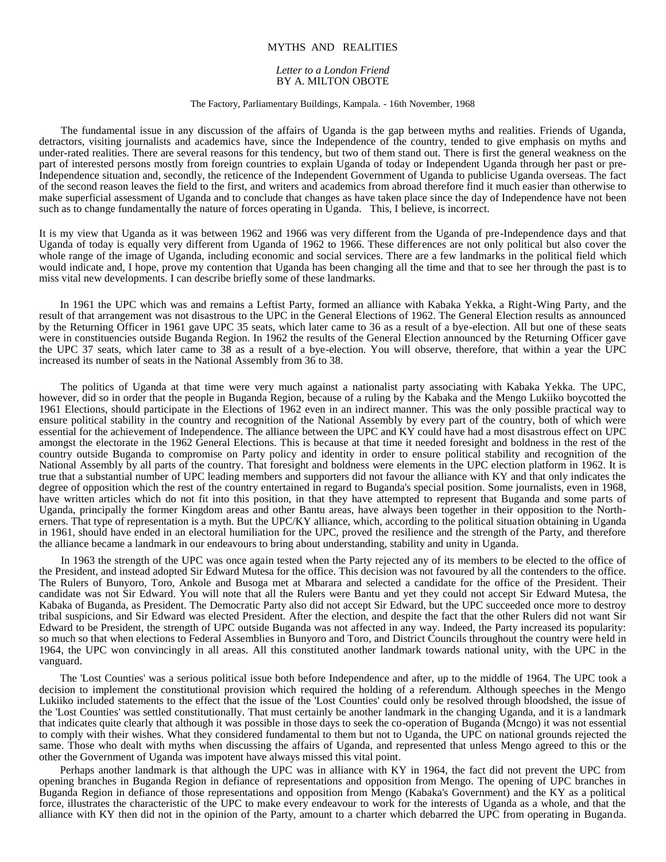## MYTHS AND REALITIES

## *Letter to a London Friend* BY A. MILTON OBOTE

## The Factory, Parliamentary Buildings, Kampala. - 16th November, 1968

The fundamental issue in any discussion of the affairs of Uganda is the gap between myths and realities. Friends of Uganda, detractors, visiting journalists and academics have, since the Independence of the country, tended to give emphasis on myths and under-rated realities. There are several reasons for this tendency, but two of them stand out. There is first the general weakness on the part of interested persons mostly from foreign countries to explain Uganda of today or Independent Uganda through her past or pre-Independence situation and, secondly, the reticence of the Independent Government of Uganda to publicise Uganda overseas. The fact of the second reason leaves the field to the first, and writers and academics from abroad therefore find it much easier than otherwise to make superficial assessment of Uganda and to conclude that changes as have taken place since the day of Independence have not been such as to change fundamentally the nature of forces operating in Uganda. This, I believe, is incorrect.

It is my view that Uganda as it was between 1962 and 1966 was very different from the Uganda of pre-Independence days and that Uganda of today is equally very different from Uganda of 1962 to 1966. These differences are not only political but also cover the whole range of the image of Uganda, including economic and social services. There are a few landmarks in the political field which would indicate and, I hope, prove my contention that Uganda has been changing all the time and that to see her through the past is to miss vital new developments. I can describe briefly some of these landmarks.

In 1961 the UPC which was and remains a Leftist Party, formed an alliance with Kabaka Yekka, a Right-Wing Party, and the result of that arrangement was not disastrous to the UPC in the General Elections of 1962. The General Election results as announced by the Returning Officer in 1961 gave UPC 35 seats, which later came to 36 as a result of a bye-election. All but one of these seats were in constituencies outside Buganda Region. In 1962 the results of the General Election announced by the Returning Officer gave the UPC 37 seats, which later came to 38 as a result of a bye-election. You will observe, therefore, that within a year the UPC increased its number of seats in the National Assembly from 36 to 38.

The politics of Uganda at that time were very much against a nationalist party associating with Kabaka Yekka. The UPC, however, did so in order that the people in Buganda Region, because of a ruling by the Kabaka and the Mengo Lukiiko boycotted the 1961 Elections, should participate in the Elections of 1962 even in an indirect manner. This was the only possible practical way to ensure political stability in the country and recognition of the National Assembly by every part of the country, both of which were essential for the achievement of Independence. The alliance between the UPC and KY could have had a most disastrous effect on UPC amongst the electorate in the 1962 General Elections. This is because at that time it needed foresight and boldness in the rest of the country outside Buganda to compromise on Party policy and identity in order to ensure political stability and recognition of the National Assembly by all parts of the country. That foresight and boldness were elements in the UPC election platform in 1962. It is true that a substantial number of UPC leading members and supporters did not favour the alliance with KY and that only indicates the degree of opposition which the rest of the country entertained in regard to Buganda's special position. Some journalists, even in 1968, have written articles which do not fit into this position, in that they have attempted to represent that Buganda and some parts of Uganda, principally the former Kingdom areas and other Bantu areas, have always been together in their opposition to the Northerners. That type of representation is a myth. But the UPC/KY alliance, which, according to the political situation obtaining in Uganda in 1961, should have ended in an electoral humiliation for the UPC, proved the resilience and the strength of the Party, and therefore the alliance became a landmark in our endeavours to bring about understanding, stability and unity in Uganda.

In 1963 the strength of the UPC was once again tested when the Party rejected any of its members to be elected to the office of the President, and instead adopted Sir Edward Mutesa for the office. This decision was not favoured by all the contenders to the office. The Rulers of Bunyoro, Toro, Ankole and Busoga met at Mbarara and selected a candidate for the office of the President. Their candidate was not Sir Edward. You will note that all the Rulers were Bantu and yet they could not accept Sir Edward Mutesa, the Kabaka of Buganda, as President. The Democratic Party also did not accept Sir Edward, but the UPC succeeded once more to destroy tribal suspicions, and Sir Edward was elected President. After the election, and despite the fact that the other Rulers did not want Sir Edward to be President, the strength of UPC outside Buganda was not affected in any way. Indeed, the Party increased its popularity: so much so that when elections to Federal Assemblies in Bunyoro and Toro, and District Councils throughout the country were held in 1964, the UPC won convincingly in all areas. All this constituted another landmark towards national unity, with the UPC in the vanguard.

The 'Lost Counties' was a serious political issue both before Independence and after, up to the middle of 1964. The UPC took a decision to implement the constitutional provision which required the holding of a referendum. Although speeches in the Mengo Lukiiko included statements to the effect that the issue of the 'Lost Counties' could only be resolved through bloodshed, the issue of the 'Lost Counties' was settled constitutionally. That must certainly be another landmark in the changing Uganda, and it is a landmark that indicates quite clearly that although it was possible in those days to seek the co-operation of Buganda (Mcngo) it was not essential to comply with their wishes. What they considered fundamental to them but not to Uganda, the UPC on national grounds rejected the same. Those who dealt with myths when discussing the affairs of Uganda, and represented that unless Mengo agreed to this or the other the Government of Uganda was impotent have always missed this vital point.

Perhaps another landmark is that although the UPC was in alliance with KY in 1964, the fact did not prevent the UPC from opening branches in Buganda Region in defiance of representations and opposition from Mengo. The opening of UPC branches in Buganda Region in defiance of those representations and opposition from Mengo (Kabaka's Government) and the KY as a political force, illustrates the characteristic of the UPC to make every endeavour to work for the interests of Uganda as a whole, and that the alliance with KY then did not in the opinion of the Party, amount to a charter which debarred the UPC from operating in Buganda.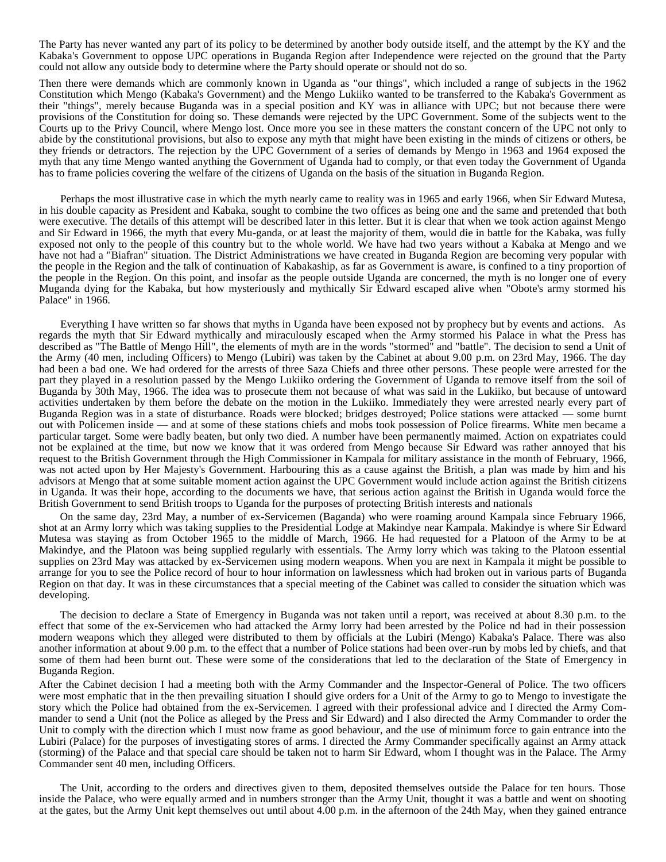The Party has never wanted any part of its policy to be determined by another body outside itself, and the attempt by the KY and the Kabaka's Government to oppose UPC operations in Buganda Region after Independence were rejected on the ground that the Party could not allow any outside body to determine where the Party should operate or should not do so.

Then there were demands which are commonly known in Uganda as "our things", which included a range of subjects in the 1962 Constitution which Mengo (Kabaka's Government) and the Mengo Lukiiko wanted to be transferred to the Kabaka's Government as their "things", merely because Buganda was in a special position and KY was in alliance with UPC; but not because there were provisions of the Constitution for doing so. These demands were rejected by the UPC Government. Some of the subjects went to the Courts up to the Privy Council, where Mengo lost. Once more you see in these matters the constant concern of the UPC not only to abide by the constitutional provisions, but also to expose any myth that might have been existing in the minds of citizens or others, be they friends or detractors. The rejection by the UPC Government of a series of demands by Mengo in 1963 and 1964 exposed the myth that any time Mengo wanted anything the Government of Uganda had to comply, or that even today the Government of Uganda has to frame policies covering the welfare of the citizens of Uganda on the basis of the situation in Buganda Region.

Perhaps the most illustrative case in which the myth nearly came to reality was in 1965 and early 1966, when Sir Edward Mutesa, in his double capacity as President and Kabaka, sought to combine the two offices as being one and the same and pretended that both were executive. The details of this attempt will be described later in this letter. But it is clear that when we took action against Mengo and Sir Edward in 1966, the myth that every Mu-ganda, or at least the majority of them, would die in battle for the Kabaka, was fully exposed not only to the people of this country but to the whole world. We have had two years without a Kabaka at Mengo and we have not had a "Biafran" situation. The District Administrations we have created in Buganda Region are becoming very popular with the people in the Region and the talk of continuation of Kabakaship, as far as Government is aware, is confined to a tiny proportion of the people in the Region. On this point, and insofar as the people outside Uganda are concerned, the myth is no longer one of every Muganda dying for the Kabaka, but how mysteriously and mythically Sir Edward escaped alive when "Obote's army stormed his Palace" in 1966.

Everything I have written so far shows that myths in Uganda have been exposed not by prophecy but by events and actions. As regards the myth that Sir Edward mythically and miraculously escaped when the Army stormed his Palace in what the Press has described as "The Battle of Mengo Hill", the elements of myth are in the words "stormed" and "battle". The decision to send a Unit of the Army (40 men, including Officers) to Mengo (Lubiri) was taken by the Cabinet at about 9.00 p.m. on 23rd May, 1966. The day had been a bad one. We had ordered for the arrests of three Saza Chiefs and three other persons. These people were arrested for the part they played in a resolution passed by the Mengo Lukiiko ordering the Government of Uganda to remove itself from the soil of Buganda by 30th May, 1966. The idea was to prosecute them not because of what was said in the Lukiiko, but because of untoward activities undertaken by them before the debate on the motion in the Lukiiko. Immediately they were arrested nearly every part of Buganda Region was in a state of disturbance. Roads were blocked; bridges destroyed; Police stations were attacked — some burnt out with Policemen inside — and at some of these stations chiefs and mobs took possession of Police firearms. White men became a particular target. Some were badly beaten, but only two died. A number have been permanently maimed. Action on expatriates could not be explained at the time, but now we know that it was ordered from Mengo because Sir Edward was rather annoyed that his request to the British Government through the High Commissioner in Kampala for military assistance in the month of February, 1966, was not acted upon by Her Majesty's Government. Harbouring this as a cause against the British, a plan was made by him and his advisors at Mengo that at some suitable moment action against the UPC Government would include action against the British citizens in Uganda. It was their hope, according to the documents we have, that serious action against the British in Uganda would force the British Government to send British troops to Uganda for the purposes of protecting British interests and nationals

On the same day, 23rd May, a number of ex-Servicemen (Baganda) who were roaming around Kampala since February 1966, shot at an Army lorry which was taking supplies to the Presidential Lodge at Makindye near Kampala. Makindye is where Sir Edward Mutesa was staying as from October 1965 to the middle of March, 1966. He had requested for a Platoon of the Army to be at Makindye, and the Platoon was being supplied regularly with essentials. The Army lorry which was taking to the Platoon essential supplies on 23rd May was attacked by ex-Servicemen using modern weapons. When you are next in Kampala it might be possible to arrange for you to see the Police record of hour to hour information on lawlessness which had broken out in various parts of Buganda Region on that day. It was in these circumstances that a special meeting of the Cabinet was called to consider the situation which was developing.

The decision to declare a State of Emergency in Buganda was not taken until a report, was received at about 8.30 p.m. to the effect that some of the ex-Servicemen who had attacked the Army lorry had been arrested by the Police nd had in their possession modern weapons which they alleged were distributed to them by officials at the Lubiri (Mengo) Kabaka's Palace. There was also another information at about 9.00 p.m. to the effect that a number of Police stations had been over-run by mobs led by chiefs, and that some of them had been burnt out. These were some of the considerations that led to the declaration of the State of Emergency in Buganda Region.

After the Cabinet decision I had a meeting both with the Army Commander and the Inspector-General of Police. The two officers were most emphatic that in the then prevailing situation I should give orders for a Unit of the Army to go to Mengo to investigate the story which the Police had obtained from the ex-Servicemen. I agreed with their professional advice and I directed the Army Commander to send a Unit (not the Police as alleged by the Press and Sir Edward) and I also directed the Army Commander to order the Unit to comply with the direction which I must now frame as good behaviour, and the use of minimum force to gain entrance into the Lubiri (Palace) for the purposes of investigating stores of arms. I directed the Army Commander specifically against an Army attack (storming) of the Palace and that special care should be taken not to harm Sir Edward, whom I thought was in the Palace. The Army Commander sent 40 men, including Officers.

The Unit, according to the orders and directives given to them, deposited themselves outside the Palace for ten hours. Those inside the Palace, who were equally armed and in numbers stronger than the Army Unit, thought it was a battle and went on shooting at the gates, but the Army Unit kept themselves out until about 4.00 p.m. in the afternoon of the 24th May, when they gained entrance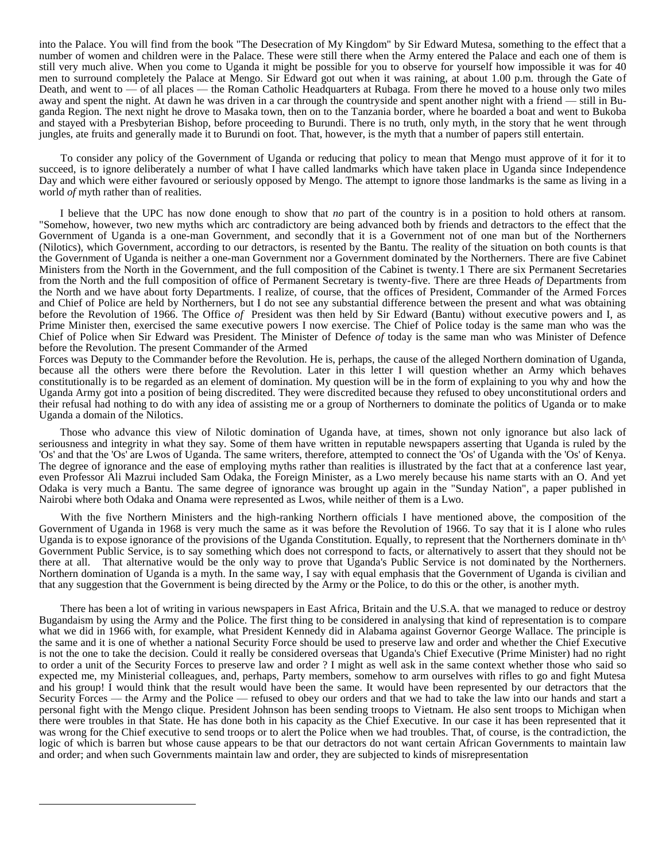into the Palace. You will find from the book "The Desecration of My Kingdom" by Sir Edward Mutesa, something to the effect that a number of women and children were in the Palace. These were still there when the Army entered the Palace and each one of them is still very much alive. When you come to Uganda it might be possible for you to observe for yourself how impossible it was for 40 men to surround completely the Palace at Mengo. Sir Edward got out when it was raining, at about 1.00 p.m. through the Gate of Death, and went to — of all places — the Roman Catholic Headquarters at Rubaga. From there he moved to a house only two miles away and spent the night. At dawn he was driven in a car through the countryside and spent another night with a friend — still in Buganda Region. The next night he drove to Masaka town, then on to the Tanzania border, where he boarded a boat and went to Bukoba and stayed with a Presbyterian Bishop, before proceeding to Burundi. There is no truth, only myth, in the story that he went through jungles, ate fruits and generally made it to Burundi on foot. That, however, is the myth that a number of papers still entertain.

To consider any policy of the Government of Uganda or reducing that policy to mean that Mengo must approve of it for it to succeed, is to ignore deliberately a number of what I have called landmarks which have taken place in Uganda since Independence Day and which were either favoured or seriously opposed by Mengo. The attempt to ignore those landmarks is the same as living in a world *of* myth rather than of realities.

I believe that the UPC has now done enough to show that *no* part of the country is in a position to hold others at ransom. "Somehow, however, two new myths which arc contradictory are being advanced both by friends and detractors to the effect that the Government of Uganda is a one-man Government, and secondly that it is a Government not of one man but of the Northerners (Nilotics), which Government, according to our detractors, is resented by the Bantu. The reality of the situation on both counts is that the Government of Uganda is neither a one-man Government nor a Government dominated by the Northerners. There are five Cabinet Ministers from the North in the Government, and the full composition of the Cabinet is twenty.1 There are six Permanent Secretaries from the North and the full composition of office of Permanent Secretary is twenty-five. There are three Heads *of* Departments from the North and we have about forty Departments. I realize, of course, that the offices of President, Commander of the Armed Forces and Chief of Police are held by Northerners, but I do not see any substantial difference between the present and what was obtaining before the Revolution of 1966. The Office *of* President was then held by Sir Edward (Bantu) without executive powers and I, as Prime Minister then, exercised the same executive powers I now exercise. The Chief of Police today is the same man who was the Chief of Police when Sir Edward was President. The Minister of Defence *of* today is the same man who was Minister of Defence before the Revolution. The present Commander of the Armed

Forces was Deputy to the Commander before the Revolution. He is, perhaps, the cause of the alleged Northern domination of Uganda, because all the others were there before the Revolution. Later in this letter I will question whether an Army which behaves constitutionally is to be regarded as an element of domination. My question will be in the form of explaining to you why and how the Uganda Army got into a position of being discredited. They were discredited because they refused to obey unconstitutional orders and their refusal had nothing to do with any idea of assisting me or a group of Northerners to dominate the politics of Uganda or to make Uganda a domain of the Nilotics.

Those who advance this view of Nilotic domination of Uganda have, at times, shown not only ignorance but also lack of seriousness and integrity in what they say. Some of them have written in reputable newspapers asserting that Uganda is ruled by the 'Os' and that the 'Os' are Lwos of Uganda. The same writers, therefore, attempted to connect the 'Os' of Uganda with the 'Os' of Kenya. The degree of ignorance and the ease of employing myths rather than realities is illustrated by the fact that at a conference last year, even Professor Ali Mazrui included Sam Odaka, the Foreign Minister, as a Lwo merely because his name starts with an O. And yet Odaka is very much a Bantu. The same degree of ignorance was brought up again in the "Sunday Nation", a paper published in Nairobi where both Odaka and Onama were represented as Lwos, while neither of them is a Lwo.

With the five Northern Ministers and the high-ranking Northern officials I have mentioned above, the composition of the Government of Uganda in 1968 is very much the same as it was before the Revolution of 1966. To say that it is I alone who rules Uganda is to expose ignorance of the provisions of the Uganda Constitution. Equally, to represent that the Northerners dominate in th<sup> $\wedge$ </sup> Government Public Service, is to say something which does not correspond to facts, or alternatively to assert that they should not be there at all. That alternative would be the only way to prove that Uganda's Public Service is not dominated by the Northerners. Northern domination of Uganda is a myth. In the same way, I say with equal emphasis that the Government of Uganda is civilian and that any suggestion that the Government is being directed by the Army or the Police, to do this or the other, is another myth.

There has been a lot of writing in various newspapers in East Africa, Britain and the U.S.A. that we managed to reduce or destroy Bugandaism by using the Army and the Police. The first thing to be considered in analysing that kind of representation is to compare what we did in 1966 with, for example, what President Kennedy did in Alabama against Governor George Wallace. The principle is the same and it is one of whether a national Security Force should be used to preserve law and order and whether the Chief Executive is not the one to take the decision. Could it really be considered overseas that Uganda's Chief Executive (Prime Minister) had no right to order a unit of the Security Forces to preserve law and order ? I might as well ask in the same context whether those who said so expected me, my Ministerial colleagues, and, perhaps, Party members, somehow to arm ourselves with rifles to go and fight Mutesa and his group! I would think that the result would have been the same. It would have been represented by our detractors that the Security Forces — the Army and the Police — refused to obey our orders and that we had to take the law into our hands and start a personal fight with the Mengo clique. President Johnson has been sending troops to Vietnam. He also sent troops to Michigan when there were troubles in that State. He has done both in his capacity as the Chief Executive. In our case it has been represented that it was wrong for the Chief executive to send troops or to alert the Police when we had troubles. That, of course, is the contradiction, the logic of which is barren but whose cause appears to be that our detractors do not want certain African Governments to maintain law and order; and when such Governments maintain law and order, they are subjected to kinds of misrepresentation

 $\overline{a}$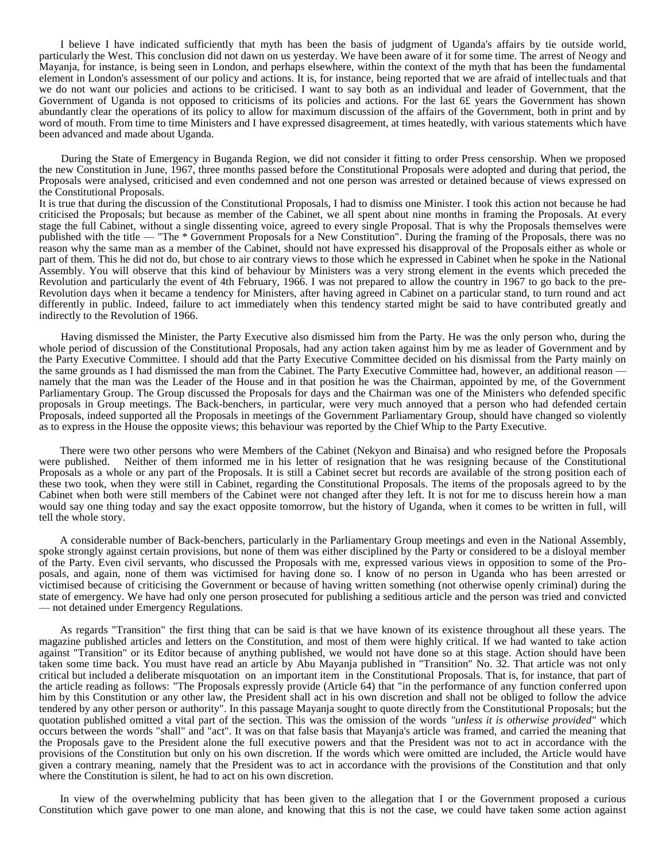I believe I have indicated sufficiently that myth has been the basis of judgment of Uganda's affairs by tie outside world, particularly the West. This conclusion did not dawn on us yesterday. We have been aware of it for some time. The arrest of Neogy and Mayanja, for instance, is being seen in London, and perhaps elsewhere, within the context of the myth that has been the fundamental element in London's assessment of our policy and actions. It is, for instance, being reported that we are afraid of intellectuals and that we do not want our policies and actions to be criticised. I want to say both as an individual and leader of Government, that the Government of Uganda is not opposed to criticisms of its policies and actions. For the last 6£ years the Government has shown abundantly clear the operations of its policy to allow for maximum discussion of the affairs of the Government, both in print and by word of mouth. From time to time Ministers and I have expressed disagreement, at times heatedly, with various statements which have been advanced and made about Uganda.

During the State of Emergency in Buganda Region, we did not consider it fitting to order Press censorship. When we proposed the new Constitution in June, 1967, three months passed before the Constitutional Proposals were adopted and during that period, the Proposals were analysed, criticised and even condemned and not one person was arrested or detained because of views expressed on the Constitutional Proposals.

It is true that during the discussion of the Constitutional Proposals, I had to dismiss one Minister. I took this action not because he had criticised the Proposals; but because as member of the Cabinet, we all spent about nine months in framing the Proposals. At every stage the full Cabinet, without a single dissenting voice, agreed to every single Proposal. That is why the Proposals themselves were published with the title — "The \* Government Proposals for a New Constitution". During the framing of the Proposals, there was no reason why the same man as a member of the Cabinet, should not have expressed his disapproval of the Proposals either as whole or part of them. This he did not do, but chose to air contrary views to those which he expressed in Cabinet when he spoke in the National Assembly. You will observe that this kind of behaviour by Ministers was a very strong element in the events which preceded the Revolution and particularly the event of 4th February, 1966. I was not prepared to allow the country in 1967 to go back to the pre-Revolution days when it became a tendency for Ministers, after having agreed in Cabinet on a particular stand, to turn round and act differently in public. Indeed, failure to act immediately when this tendency started might be said to have contributed greatly and indirectly to the Revolution of 1966.

Having dismissed the Minister, the Party Executive also dismissed him from the Party. He was the only person who, during the whole period of discussion of the Constitutional Proposals, had any action taken against him by me as leader of Government and by the Party Executive Committee. I should add that the Party Executive Committee decided on his dismissal from the Party mainly on the same grounds as I had dismissed the man from the Cabinet. The Party Executive Committee had, however, an additional reason namely that the man was the Leader of the House and in that position he was the Chairman, appointed by me, of the Government Parliamentary Group. The Group discussed the Proposals for days and the Chairman was one of the Ministers who defended specific proposals in Group meetings. The Back-benchers, in particular, were very much annoyed that a person who had defended certain Proposals, indeed supported all the Proposals in meetings of the Government Parliamentary Group, should have changed so violently as to express in the House the opposite views; this behaviour was reported by the Chief Whip to the Party Executive.

There were two other persons who were Members of the Cabinet (Nekyon and Binaisa) and who resigned before the Proposals were published. Neither of them informed me in his letter of resignation that he was resigning because of the Constitutional Proposals as a whole or any part of the Proposals. It is still a Cabinet secret but records are available of the strong position each of these two took, when they were still in Cabinet, regarding the Constitutional Proposals. The items of the proposals agreed to by the Cabinet when both were still members of the Cabinet were not changed after they left. It is not for me to discuss herein how a man would say one thing today and say the exact opposite tomorrow, but the history of Uganda, when it comes to be written in full, will tell the whole story.

A considerable number of Back-benchers, particularly in the Parliamentary Group meetings and even in the National Assembly, spoke strongly against certain provisions, but none of them was either disciplined by the Party or considered to be a disloyal member of the Party. Even civil servants, who discussed the Proposals with me, expressed various views in opposition to some of the Proposals, and again, none of them was victimised for having done so. I know of no person in Uganda who has been arrested or victimised because of criticising the Government or because of having written something (not otherwise openly criminal) during the state of emergency. We have had only one person prosecuted for publishing a seditious article and the person was tried and convicted — not detained under Emergency Regulations.

As regards "Transition" the first thing that can be said is that we have known of its existence throughout all these years. The magazine published articles and letters on the Constitution, and most of them were highly critical. If we had wanted to take action against "Transition" or its Editor because of anything published, we would not have done so at this stage. Action should have been taken some time back. You must have read an article by Abu Mayanja published in "Transition" No. 32. That article was not only critical but included a deliberate misquotation on an important item in the Constitutional Proposals. That is, for instance, that part of the article reading as follows: "The Proposals expressly provide (Article 64) that "in the performance of any function conferred upon him by this Constitution or any other law, the President shall act in his own discretion and shall not be obliged to follow the advice tendered by any other person or authority". In this passage Mayanja sought to quote directly from the Constitutional Proposals; but the quotation published omitted a vital part of the section. This was the omission of the words *"unless it is otherwise provided"* which occurs between the words "shall" and "act". It was on that false basis that Mayanja's article was framed, and carried the meaning that the Proposals gave to the President alone the full executive powers and that the President was not to act in accordance with the provisions of the Constitution but only on his own discretion. If the words which were omitted are included, the Article would have given a contrary meaning, namely that the President was to act in accordance with the provisions of the Constitution and that only where the Constitution is silent, he had to act on his own discretion.

In view of the overwhelming publicity that has been given to the allegation that I or the Government proposed a curious Constitution which gave power to one man alone, and knowing that this is not the case, we could have taken some action against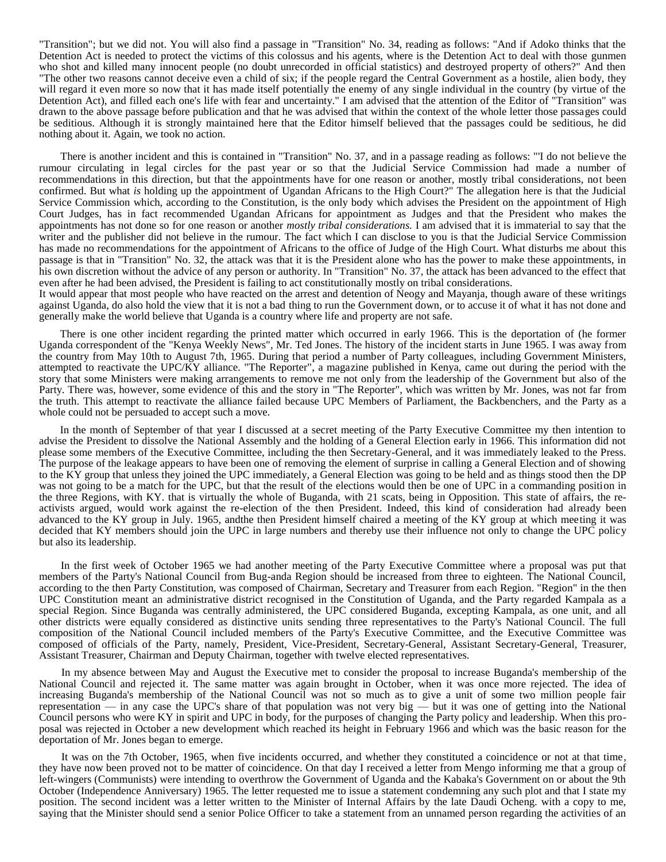"Transition"; but we did not. You will also find a passage in "Transition" No. 34, reading as follows: "And if Adoko thinks that the Detention Act is needed to protect the victims of this colossus and his agents, where is the Detention Act to deal with those gunmen who shot and killed many innocent people (no doubt unrecorded in official statistics) and destroyed property of others?" And then "The other two reasons cannot deceive even a child of six; if the people regard the Central Government as a hostile, alien body, they will regard it even more so now that it has made itself potentially the enemy of any single individual in the country (by virtue of the Detention Act), and filled each one's life with fear and uncertainty." I am advised that the attention of the Editor of "Transition" was drawn to the above passage before publication and that he was advised that within the context of the whole letter those passages could be seditious. Although it is strongly maintained here that the Editor himself believed that the passages could be seditious, he did nothing about it. Again, we took no action.

There is another incident and this is contained in "Transition" No. 37, and in a passage reading as follows: "'I do not believe the rumour circulating in legal circles for the past year or so that the Judicial Service Commission had made a number of recommendations in this direction, but that the appointments have for one reason or another, mostly tribal considerations, not been confirmed. But what *is* holding up the appointment of Ugandan Africans to the High Court?" The allegation here is that the Judicial Service Commission which, according to the Constitution, is the only body which advises the President on the appointment of High Court Judges, has in fact recommended Ugandan Africans for appointment as Judges and that the President who makes the appointments has not done so for one reason or another *mostly tribal considerations.* I am advised that it is immaterial to say that the writer and the publisher did not believe in the rumour. The fact which I can disclose to you is that the Judicial Service Commission has made no recommendations for the appointment of Africans to the office of Judge of the High Court. What disturbs me about this passage is that in "Transition" No. 32, the attack was that it is the President alone who has the power to make these appointments, in his own discretion without the advice of any person or authority. In "Transition" No. 37, the attack has been advanced to the effect that even after he had been advised, the President is failing to act constitutionally mostly on tribal considerations.

It would appear that most people who have reacted on the arrest and detention of Neogy and Mayanja, though aware of these writings against Uganda, do also hold the view that it is not a bad thing to run the Government down, or to accuse it of what it has not done and generally make the world believe that Uganda is a country where life and property are not safe.

There is one other incident regarding the printed matter which occurred in early 1966. This is the deportation of (he former Uganda correspondent of the "Kenya Weekly News", Mr. Ted Jones. The history of the incident starts in June 1965. I was away from the country from May 10th to August 7th, 1965. During that period a number of Party colleagues, including Government Ministers, attempted to reactivate the UPC/KY alliance. "The Reporter", a magazine published in Kenya, came out during the period with the story that some Ministers were making arrangements to remove me not only from the leadership of the Government but also of the Party. There was, however, some evidence of this and the story in "The Reporter", which was written by Mr. Jones, was not far from the truth. This attempt to reactivate the alliance failed because UPC Members of Parliament, the Backbenchers, and the Party as a whole could not be persuaded to accept such a move.

In the month of September of that year I discussed at a secret meeting of the Party Executive Committee my then intention to advise the President to dissolve the National Assembly and the holding of a General Election early in 1966. This information did not please some members of the Executive Committee, including the then Secretary-General, and it was immediately leaked to the Press. The purpose of the leakage appears to have been one of removing the element of surprise in calling a General Election and of showing to the KY group that unless they joined the UPC immediately, a General Election was going to be held and as things stood then the DP was not going to be a match for the UPC, but that the result of the elections would then be one of UPC in a commanding position in the three Regions, with KY. that is virtually the whole of Buganda, with 21 scats, being in Opposition. This state of affairs, the reactivists argued, would work against the re-election of the then President. Indeed, this kind of consideration had already been advanced to the KY group in July. 1965, andthe then President himself chaired a meeting of the KY group at which meeting it was decided that KY members should join the UPC in large numbers and thereby use their influence not only to change the UPC policy but also its leadership.

In the first week of October 1965 we had another meeting of the Party Executive Committee where a proposal was put that members of the Party's National Council from Bug-anda Region should be increased from three to eighteen. The National Council, according to the then Party Constitution, was composed of Chairman, Secretary and Treasurer from each Region. "Region" in the then UPC Constitution meant an administrative district recognised in the Constitution of Uganda, and the Party regarded Kampala as a special Region. Since Buganda was centrally administered, the UPC considered Buganda, excepting Kampala, as one unit, and all other districts were equally considered as distinctive units sending three representatives to the Party's National Council. The full composition of the National Council included members of the Party's Executive Committee, and the Executive Committee was composed of officials of the Party, namely, President, Vice-President, Secretary-General, Assistant Secretary-General, Treasurer, Assistant Treasurer, Chairman and Deputy Chairman, together with twelve elected representatives.

In my absence between May and August the Executive met to consider the proposal to increase Buganda's membership of the National Council and rejected it. The same matter was again brought in October, when it was once more rejected. The idea of increasing Buganda's membership of the National Council was not so much as to give a unit of some two million people fair representation — in any case the UPC's share of that population was not very big — but it was one of getting into the National Council persons who were KY in spirit and UPC in body, for the purposes of changing the Party policy and leadership. When this proposal was rejected in October a new development which reached its height in February 1966 and which was the basic reason for the deportation of Mr. Jones began to emerge.

It was on the 7th October, 1965, when five incidents occurred, and whether they constituted a coincidence or not at that time, they have now been proved not to be matter of coincidence. On that day I received a letter from Mengo informing me that a group of left-wingers (Communists) were intending to overthrow the Government of Uganda and the Kabaka's Government on or about the 9th October (Independence Anniversary) 1965. The letter requested me to issue a statement condemning any such plot and that I state my position. The second incident was a letter written to the Minister of Internal Affairs by the late Daudi Ocheng. with a copy to me, saying that the Minister should send a senior Police Officer to take a statement from an unnamed person regarding the activities of an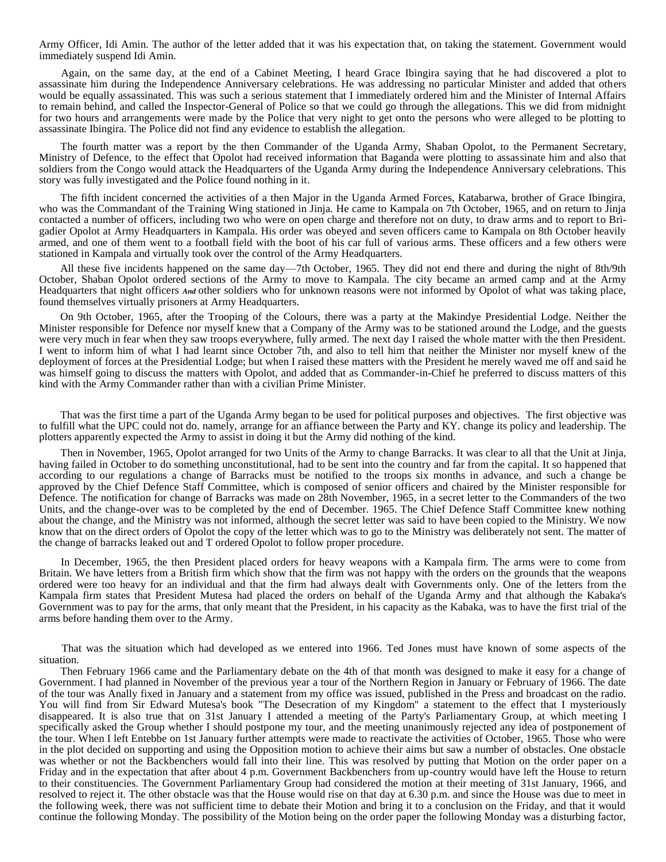Army Officer, Idi Amin. The author of the letter added that it was his expectation that, on taking the statement. Government would immediately suspend Idi Amin.

Again, on the same day, at the end of a Cabinet Meeting, I heard Grace Ibingira saying that he had discovered a plot to assassinate him during the Independence Anniversary celebrations. He was addressing no particular Minister and added that others would be equally assassinated. This was such a serious statement that I immediately ordered him and the Minister of Internal Affairs to remain behind, and called the Inspector-General of Police so that we could go through the allegations. This we did from midnight for two hours and arrangements were made by the Police that very night to get onto the persons who were alleged to be plotting to assassinate Ibingira. The Police did not find any evidence to establish the allegation.

The fourth matter was a report by the then Commander of the Uganda Army, Shaban Opolot, to the Permanent Secretary, Ministry of Defence, to the effect that Opolot had received information that Baganda were plotting to assassinate him and also that soldiers from the Congo would attack the Headquarters of the Uganda Army during the Independence Anniversary celebrations. This story was fully investigated and the Police found nothing in it.

The fifth incident concerned the activities of a then Major in the Uganda Armed Forces, Katabarwa, brother of Grace Ibingira, who was the Commandant of the Training Wing stationed in Jinja. He came to Kampala on 7th October, 1965, and on return to Jinja contacted a number of officers, including two who were on open charge and therefore not on duty, to draw arms and to report to Brigadier Opolot at Army Headquarters in Kampala. His order was obeyed and seven officers came to Kampala on 8th October heavily armed, and one of them went to a football field with the boot of his car full of various arms. These officers and a few others were stationed in Kampala and virtually took over the control of the Army Headquarters.

All these five incidents happened on the same day—7th October, 1965. They did not end there and during the night of 8th/9th October, Shaban Opolot ordered sections of the Army to move to Kampala. The city became an armed camp and at the Army Headquarters that night officers *And* other soldiers who for unknown reasons were not informed by Opolot of what was taking place, found themselves virtually prisoners at Army Headquarters.

On 9th October, 1965, after the Trooping of the Colours, there was a party at the Makindye Presidential Lodge. Neither the Minister responsible for Defence nor myself knew that a Company of the Army was to be stationed around the Lodge, and the guests were very much in fear when they saw troops everywhere, fully armed. The next day I raised the whole matter with the then President. I went to inform him of what I had learnt since October 7th, and also to tell him that neither the Minister nor myself knew of the deployment of forces at the Presidential Lodge; but when I raised these matters with the President he merely waved me off and said he was himself going to discuss the matters with Opolot, and added that as Commander-in-Chief he preferred to discuss matters of this kind with the Army Commander rather than with a civilian Prime Minister.

That was the first time a part of the Uganda Army began to be used for political purposes and objectives. The first objective was to fulfill what the UPC could not do. namely, arrange for an affiance between the Party and KY. change its policy and leadership. The plotters apparently expected the Army to assist in doing it but the Army did nothing of the kind.

Then in November, 1965, Opolot arranged for two Units of the Army to change Barracks. It was clear to all that the Unit at Jinja, having failed in October to do something unconstitutional, had to be sent into the country and far from the capital. It so happened that according to our regulations a change of Barracks must be notified to the troops six months in advance, and such a change be approved by the Chief Defence Staff Committee, which is composed of senior officers and chaired by the Minister responsible for Defence. The notification for change of Barracks was made on 28th November, 1965, in a secret letter to the Commanders of the two Units, and the change-over was to be completed by the end of December. 1965. The Chief Defence Staff Committee knew nothing about the change, and the Ministry was not informed, although the secret letter was said to have been copied to the Ministry. We now know that on the direct orders of Opolot the copy of the letter which was to go to the Ministry was deliberately not sent. The matter of the change of barracks leaked out and T ordered Opolot to follow proper procedure.

In December, 1965, the then President placed orders for heavy weapons with a Kampala firm. The arms were to come from Britain. We have letters from a British firm which show that the firm was not happy with the orders on the grounds that the weapons ordered were too heavy for an individual and that the firm had always dealt with Governments only. One of the letters from the Kampala firm states that President Mutesa had placed the orders on behalf of the Uganda Army and that although the Kabaka's Government was to pay for the arms, that only meant that the President, in his capacity as the Kabaka, was to have the first trial of the arms before handing them over to the Army.

That was the situation which had developed as we entered into 1966. Ted Jones must have known of some aspects of the situation.

Then February 1966 came and the Parliamentary debate on the 4th of that month was designed to make it easy for a change of Government. I had planned in November of the previous year a tour of the Northern Region in January or February of 1966. The date of the tour was Anally fixed in January and a statement from my office was issued, published in the Press and broadcast on the radio. You will find from Sir Edward Mutesa's book "The Desecration of my Kingdom" a statement to the effect that I mysteriously disappeared. It is also true that on 31st January I attended a meeting of the Party's Parliamentary Group, at which meeting I specifically asked the Group whether I should postpone my tour, and the meeting unanimously rejected any idea of postponement of the tour. When I left Entebbe on 1st January further attempts were made to reactivate the activities of October, 1965. Those who were in the plot decided on supporting and using the Opposition motion to achieve their aims but saw a number of obstacles. One obstacle was whether or not the Backbenchers would fall into their line. This was resolved by putting that Motion on the order paper on a Friday and in the expectation that after about 4 p.m. Government Backbenchers from up-country would have left the House to return to their constituencies. The Government Parliamentary Group had considered the motion at their meeting of 31st January, 1966, and resolved to reject it. The other obstacle was that the House would rise on that day at 6.30 p.m. and since the House was due to meet in the following week, there was not sufficient time to debate their Motion and bring it to a conclusion on the Friday, and that it would continue the following Monday. The possibility of the Motion being on the order paper the following Monday was a disturbing factor,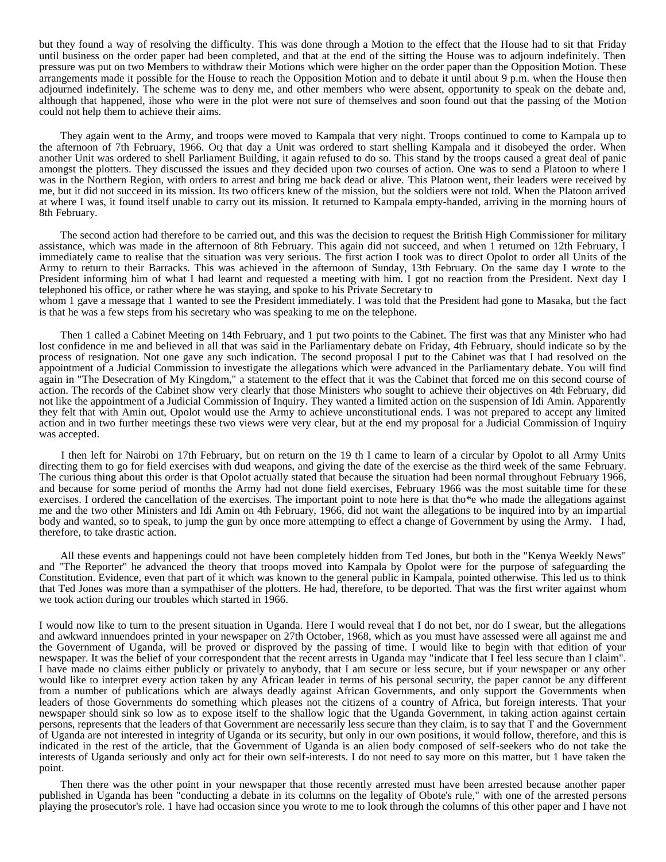but they found a way of resolving the difficulty. This was done through a Motion to the effect that the House had to sit that Friday until business on the order paper had been completed, and that at the end of the sitting the House was to adjourn indefinitely. Then pressure was put on two Members to withdraw their Motions which were higher on the order paper than the Opposition Motion. These arrangements made it possible for the House to reach the Opposition Motion and to debate it until about 9 p.m. when the House then adjourned indefinitely. The scheme was to deny me, and other members who were absent, opportunity to speak on the debate and, although that happened, ihose who were in the plot were not sure of themselves and soon found out that the passing of the Motion could not help them to achieve their aims.

They again went to the Army, and troops were moved to Kampala that very night. Troops continued to come to Kampala up to the afternoon of 7th February, 1966. OQ that day a Unit was ordered to start shelling Kampala and it disobeyed the order. When another Unit was ordered to shell Parliament Building, it again refused to do so. This stand by the troops caused a great deal of panic amongst the plotters. They discussed the issues and they decided upon two courses of action. One was to send a Platoon to where I was in the Northern Region, with orders to arrest and bring me back dead or alive. This Platoon went, their leaders were received by me, but it did not succeed in its mission. Its two officers knew of the mission, but the soldiers were not told. When the Platoon arrived at where I was, it found itself unable to carry out its mission. It returned to Kampala empty-handed, arriving in the morning hours of 8th February.

The second action had therefore to be carried out, and this was the decision to request the British High Commissioner for military assistance, which was made in the afternoon of 8th February. This again did not succeed, and when 1 returned on 12th February, I immediately came to realise that the situation was very serious. The first action I took was to direct Opolot to order all Units of the Army to return to their Barracks. This was achieved in the afternoon of Sunday, 13th February. On the same day I wrote to the President informing him of what I had learnt and requested a meeting with him. I got no reaction from the President. Next day I telephoned his office, or rather where he was staying, and spoke to his Private Secretary to

whom 1 gave a message that 1 wanted to see the President immediately. I was told that the President had gone to Masaka, but the fact is that he was a few steps from his secretary who was speaking to me on the telephone.

Then 1 called a Cabinet Meeting on 14th February, and 1 put two points to the Cabinet. The first was that any Minister who had lost confidence in me and believed in all that was said in the Parliamentary debate on Friday, 4th February, should indicate so by the process of resignation. Not one gave any such indication. The second proposal I put to the Cabinet was that I had resolved on the appointment of a Judicial Commission to investigate the allegations which were advanced in the Parliamentary debate. You will find again in "The Desecration of My Kingdom," a statement to the effect that it was the Cabinet that forced me on this second course of action. The records of the Cabinet show very clearly that those Ministers who sought to achieve their objectives on 4th February, did not like the appointment of a Judicial Commission of Inquiry. They wanted a limited action on the suspension of Idi Amin. Apparently they felt that with Amin out, Opolot would use the Army to achieve unconstitutional ends. I was not prepared to accept any limited action and in two further meetings these two views were very clear, but at the end my proposal for a Judicial Commission of Inquiry was accepted.

I then left for Nairobi on 17th February, but on return on the 19 th I came to learn of a circular by Opolot to all Army Units directing them to go for field exercises with dud weapons, and giving the date of the exercise as the third week of the same February. The curious thing about this order is that Opolot actually stated that because the situation had been normal throughout February 1966, and because for some period of months the Army had not done field exercises, February 1966 was the most suitable time for these exercises. I ordered the cancellation of the exercises. The important point to note here is that tho\*e who made the allegations against me and the two other Ministers and Idi Amin on 4th February, 1966, did not want the allegations to be inquired into by an impartial body and wanted, so to speak, to jump the gun by once more attempting to effect a change of Government by using the Army. I had, therefore, to take drastic action.

All these events and happenings could not have been completely hidden from Ted Jones, but both in the "Kenya Weekly News" and "The Reporter" he advanced the theory that troops moved into Kampala by Opolot were for the purpose of safeguarding the Constitution. Evidence, even that part of it which was known to the general public in Kampala, pointed otherwise. This led us to think that Ted Jones was more than a sympathiser of the plotters. He had, therefore, to be deported. That was the first writer against whom we took action during our troubles which started in 1966.

I would now like to turn to the present situation in Uganda. Here I would reveal that I do not bet, nor do I swear, but the allegations and awkward innuendoes printed in your newspaper on 27th October, 1968, which as you must have assessed were all against me and the Government of Uganda, will be proved or disproved by the passing of time. I would like to begin with that edition of your newspaper. It was the belief of your correspondent that the recent arrests in Uganda may "indicate that I feel less secure than I claim". I have made no claims either publicly or privately to anybody, that I am secure or less secure, but if your newspaper or any other would like to interpret every action taken by any African leader in terms of his personal security, the paper cannot be any different from a number of publications which are always deadly against African Governments, and only support the Governments when leaders of those Governments do something which pleases not the citizens of a country of Africa, but foreign interests. That your newspaper should sink so low as to expose itself to the shallow logic that the Uganda Government, in taking action against certain persons, represents that the leaders of that Government are necessarily less secure than they claim, is to say that T and the Government of Uganda are not interested in integrity of Uganda or its security, but only in our own positions, it would follow, therefore, and this is indicated in the rest of the article, that the Government of Uganda is an alien body composed of self-seekers who do not take the interests of Uganda seriously and only act for their own self-interests. I do not need to say more on this matter, but 1 have taken the point.

Then there was the other point in your newspaper that those recently arrested must have been arrested because another paper published in Uganda has been "conducting a debate in its columns on the legality of Obote's rule," with one of the arrested persons playing the prosecutor's role. 1 have had occasion since you wrote to me to look through the columns of this other paper and I have not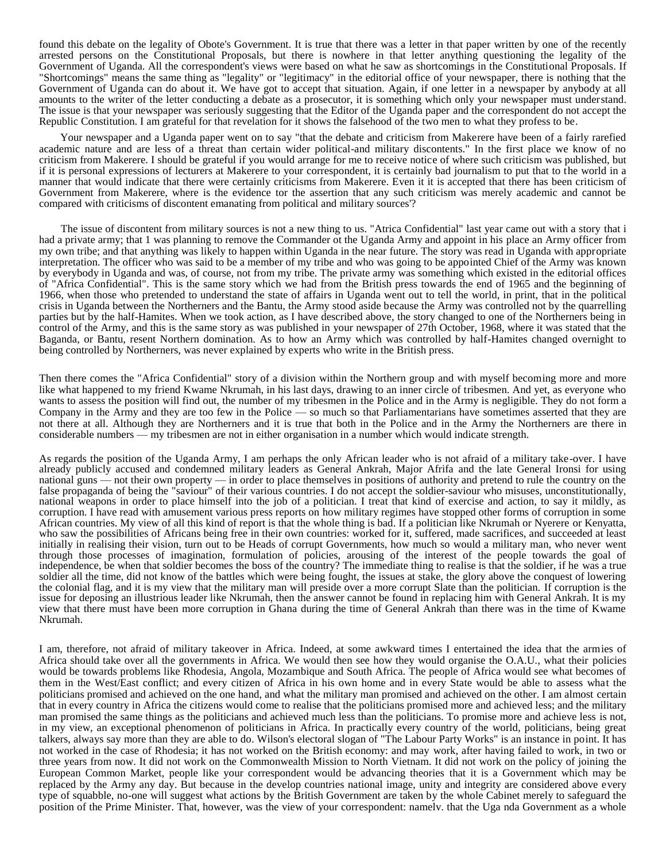found this debate on the legality of Obote's Government. It is true that there was a letter in that paper written by one of the recently arrested persons on the Constitutional Proposals, but there is nowhere in that letter anything questioning the legality of the Government of Uganda. All the correspondent's views were based on what he saw as shortcomings in the Constitutional Proposals. If "Shortcomings" means the same thing as "legality" or "legitimacy" in the editorial office of your newspaper, there is nothing that the Government of Uganda can do about it. We have got to accept that situation. Again, if one letter in a newspaper by anybody at all amounts to the writer of the letter conducting a debate as a prosecutor, it is something which only your newspaper must understand. The issue is that your newspaper was seriously suggesting that the Editor of the Uganda paper and the correspondent do not accept the Republic Constitution. I am grateful for that revelation for it shows the falsehood of the two men to what they profess to be.

Your newspaper and a Uganda paper went on to say "that the debate and criticism from Makerere have been of a fairly rarefied academic nature and are less of a threat than certain wider political-and military discontents." In the first place we know of no criticism from Makerere. I should be grateful if you would arrange for me to receive notice of where such criticism was published, but if it is personal expressions of lecturers at Makerere to your correspondent, it is certainly bad journalism to put that to the world in a manner that would indicate that there were certainly criticisms from Makerere. Even it it is accepted that there has been criticism of Government from Makerere, where is the evidence tor the assertion that any such criticism was merely academic and cannot be compared with criticisms of discontent emanating from political and military sources'?

The issue of discontent from military sources is not a new thing to us. "Atrica Confidential" last year came out with a story that i had a private army; that 1 was planning to remove the Commander ot the Uganda Army and appoint in his place an Army officer from my own tribe; and that anything was likely to happen within Uganda in the near future. The story was read in Uganda with appropriate interpretation. The officer who was said to be a member of my tribe and who was going to be appointed Chief of the Army was known by everybody in Uganda and was, of course, not from my tribe. The private army was something which existed in the editorial offices of "Africa Confidential". This is the same story which we had from the British press towards the end of 1965 and the beginning of 1966, when those who pretended to understand the state of affairs in Uganda went out to tell the world, in print, that in the political crisis in Uganda between the Northerners and the Bantu, the Army stood aside because the Army was controlled not by the quarrelling parties but by the half-Hamites. When we took action, as I have described above, the story changed to one of the Northerners being in control of the Army, and this is the same story as was published in your newspaper of 27th October, 1968, where it was stated that the Baganda, or Bantu, resent Northern domination. As to how an Army which was controlled by half-Hamites changed overnight to being controlled by Northerners, was never explained by experts who write in the British press.

Then there comes the "Africa Confidential" story of a division within the Northern group and with myself becoming more and more like what happened to my friend Kwame Nkrumah, in his last days, drawing to an inner circle of tribesmen. And yet, as everyone who wants to assess the position will find out, the number of my tribesmen in the Police and in the Army is negligible. They do not form a Company in the Army and they are too few in the Police — so much so that Parliamentarians have sometimes asserted that they are not there at all. Although they are Northerners and it is true that both in the Police and in the Army the Northerners are there in considerable numbers — my tribesmen are not in either organisation in a number which would indicate strength.

As regards the position of the Uganda Army, I am perhaps the only African leader who is not afraid of a military take-over. I have already publicly accused and condemned military leaders as General Ankrah, Major Afrifa and the late General Ironsi for using national guns — not their own property — in order to place themselves in positions of authority and pretend to rule the country on the false propaganda of being the "saviour" of their various countries. I do not accept the soldier-saviour who misuses, unconstitutionally, national weapons in order to place himself into the job of a politician. I treat that kind of exercise and action, to say it mildly, as corruption. I have read with amusement various press reports on how military regimes have stopped other forms of corruption in some African countries. My view of all this kind of report is that the whole thing is bad. If a politician like Nkrumah or Nyerere or Kenyatta, who saw the possibilities of Africans being free in their own countries: worked for it, suffered, made sacrifices, and succeeded at least initially in realising their vision, turn out to be Heads of corrupt Governments, how much so would a military man, who never went through those processes of imagination, formulation of policies, arousing of the interest of the people towards the goal of independence, be when that soldier becomes the boss of the country? The immediate thing to realise is that the soldier, if he was a true soldier all the time, did not know of the battles which were being fought, the issues at stake, the glory above the conquest of lowering the colonial flag, and it is my view that the military man will preside over a more corrupt Slate than the politician. If corruption is the issue for deposing an illustrious leader like Nkrumah, then the answer cannot be found in replacing him with General Ankrah. It is my view that there must have been more corruption in Ghana during the time of General Ankrah than there was in the time of Kwame Nkrumah.

I am, therefore, not afraid of military takeover in Africa. Indeed, at some awkward times I entertained the idea that the armies of Africa should take over all the governments in Africa. We would then see how they would organise the O.A.U., what their policies would be towards problems like Rhodesia, Angola, Mozambique and South Africa. The people of Africa would see what becomes of them in the West/East conflict; and every citizen of Africa in his own home and in every State would be able to assess what the politicians promised and achieved on the one hand, and what the military man promised and achieved on the other. I am almost certain that in every country in Africa the citizens would come to realise that the politicians promised more and achieved less; and the military man promised the same things as the politicians and achieved much less than the politicians. To promise more and achieve less is not, in my view, an exceptional phenomenon of politicians in Africa. In practically every country of the world, politicians, being great talkers, always say more than they are able to do. Wilson's electoral slogan of "The Labour Party Works" is an instance in point. It has not worked in the case of Rhodesia; it has not worked on the British economy: and may work, after having failed to work, in two or three years from now. It did not work on the Commonwealth Mission to North Vietnam. It did not work on the policy of joining the European Common Market, people like your correspondent would be advancing theories that it is a Government which may be replaced by the Army any day. But because in the develop countries national image, unity and integrity are considered above every type of squabble, no-one will suggest what actions by the British Government are taken by the whole Cabinet merely to safeguard the position of the Prime Minister. That, however, was the view of your correspondent: namelv. that the Uga nda Government as a whole